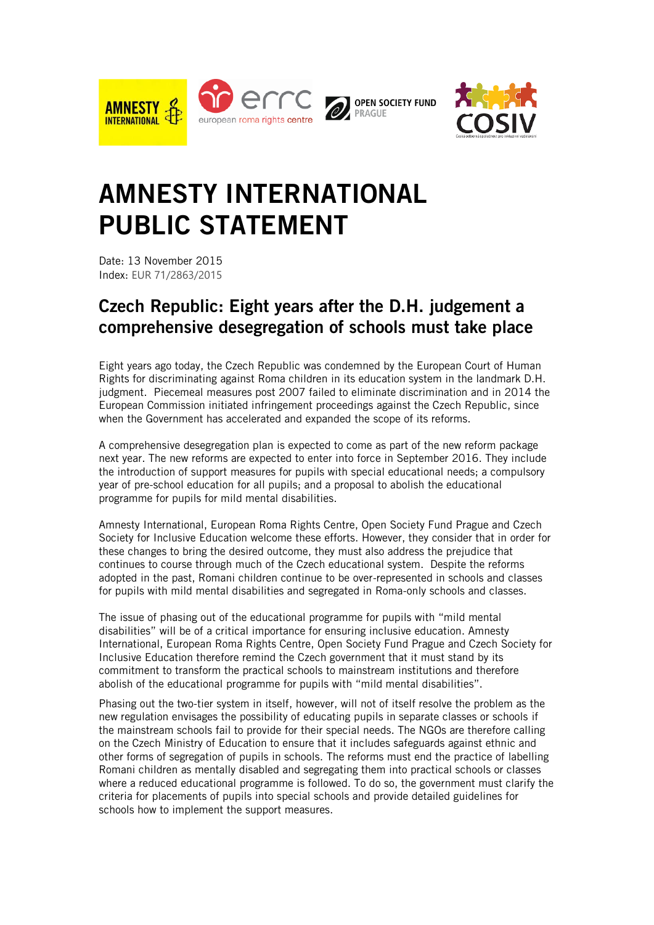



## **AMNESTY INTERNATIONAL PUBLIC STATEMENT**

Date: 13 November 2015 Index: EUR 71/2863/2015

## **Czech Republic: Eight years after the D.H. judgement a comprehensive desegregation of schools must take place**

Eight years ago today, the Czech Republic was condemned by the European Court of Human Rights for discriminating against Roma children in its education system in the landmark D.H. judgment. Piecemeal measures post 2007 failed to eliminate discrimination and in 2014 the European Commission initiated infringement proceedings against the Czech Republic, since when the Government has accelerated and expanded the scope of its reforms.

A comprehensive desegregation plan is expected to come as part of the new reform package next year. The new reforms are expected to enter into force in September 2016. They include the introduction of support measures for pupils with special educational needs; a compulsory year of pre-school education for all pupils; and a proposal to abolish the educational programme for pupils for mild mental disabilities.

Amnesty International, European Roma Rights Centre, Open Society Fund Prague and Czech Society for Inclusive Education welcome these efforts. However, they consider that in order for these changes to bring the desired outcome, they must also address the prejudice that continues to course through much of the Czech educational system. Despite the reforms adopted in the past, Romani children continue to be over-represented in schools and classes for pupils with mild mental disabilities and segregated in Roma-only schools and classes.

The issue of phasing out of the educational programme for pupils with "mild mental disabilities" will be of a critical importance for ensuring inclusive education. Amnesty International, European Roma Rights Centre, Open Society Fund Prague and Czech Society for Inclusive Education therefore remind the Czech government that it must stand by its commitment to transform the practical schools to mainstream institutions and therefore abolish of the educational programme for pupils with "mild mental disabilities".

Phasing out the two-tier system in itself, however, will not of itself resolve the problem as the new regulation envisages the possibility of educating pupils in separate classes or schools if the mainstream schools fail to provide for their special needs. The NGOs are therefore calling on the Czech Ministry of Education to ensure that it includes safeguards against ethnic and other forms of segregation of pupils in schools. The reforms must end the practice of labelling Romani children as mentally disabled and segregating them into practical schools or classes where a reduced educational programme is followed. To do so, the government must clarify the criteria for placements of pupils into special schools and provide detailed guidelines for schools how to implement the support measures.